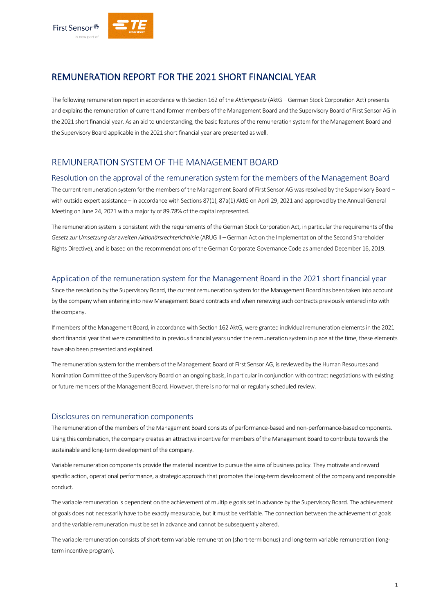

# REMUNERATION REPORT FOR THE 2021 SHORT FINANCIAL YEAR

The following remuneration report in accordance with Section 162 of the *Aktiengesetz*(AktG – German Stock Corporation Act) presents and explains the remuneration of current and former members of the Management Board and the Supervisory Board of First Sensor AG in the 2021 short financial year. As an aid to understanding, the basic features of the remuneration system for the Management Board and the Supervisory Board applicable in the 2021 short financial year are presented as well.

# REMUNERATION SYSTEM OF THE MANAGEMENT BOARD

#### Resolution on the approval of the remuneration system for the members of the Management Board

The current remuneration system for the members of the Management Board of First Sensor AG was resolved by the Supervisory Board – with outside expert assistance – in accordance with Sections 87(1), 87a(1) AktG on April 29, 2021 and approved by the Annual General Meeting on June 24, 2021 with a majority of 89.78% of the capital represented.

The remuneration system is consistent with the requirements of the German Stock Corporation Act, in particular the requirements of the *Gesetz zur Umsetzung der zweiten Aktionärsrechterichtlinie* (ARUG II – German Act on the Implementation of the Second Shareholder Rights Directive), and is based on the recommendations of the German Corporate Governance Code as amended December 16, 2019.

## Application of the remuneration system for the Management Board in the 2021 short financial year

Since the resolution by the Supervisory Board, the current remuneration system for the Management Board has been taken into account by the company when entering into new Management Board contracts and when renewing such contracts previously entered into with the company.

If members of the Management Board, in accordance with Section 162 AktG, were granted individual remuneration elements in the 2021 short financial year that were committed to in previous financial years under the remuneration system in place at the time, these elements have also been presented and explained.

The remuneration system for the members of the Management Board of First Sensor AG, is reviewed by the Human Resources and Nomination Committee of the Supervisory Board on an ongoing basis, in particular in conjunction with contract negotiations with existing or future members of the Management Board. However, there is no formal or regularly scheduled review.

#### Disclosures on remuneration components

The remuneration of the members of the Management Board consists of performance-based and non-performance-based components. Using this combination, the company creates an attractive incentive for members of the Management Board to contribute towards the sustainable and long-term development of the company.

Variable remuneration components provide the material incentive to pursue the aims of business policy. They motivate and reward specific action, operational performance, a strategic approach that promotes the long-term development of the company and responsible conduct.

The variable remuneration is dependent on the achievement of multiple goals set in advance by the Supervisory Board. The achievement of goals does not necessarily have to be exactly measurable, but it must be verifiable. The connection between the achievement of goals and the variable remuneration must be set in advance and cannot be subsequently altered.

The variable remuneration consists of short-term variable remuneration (short-term bonus) and long-term variable remuneration (longterm incentive program).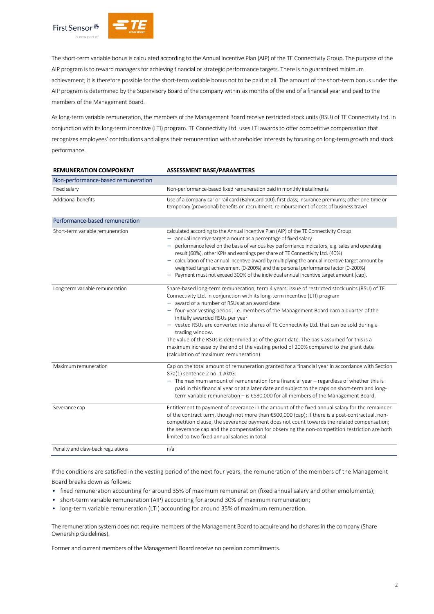

The short-term variable bonus is calculated according to the Annual Incentive Plan (AIP) of the TE Connectivity Group. The purpose of the AIP program is to reward managers for achieving financial or strategic performance targets. There is no guaranteed minimum achievement; it is therefore possible for the short-term variable bonus not to be paid at all. The amount of the short-term bonus under the AIP program is determined by the Supervisory Board of the company within six months of the end of a financial year and paid to the members of the Management Board.

As long-term variable remuneration, the members of the Management Board receive restricted stock units (RSU) of TE Connectivity Ltd. in conjunction with its long-term incentive (LTI) program. TE Connectivity Ltd. uses LTI awards to offer competitive compensation that recognizes employees' contributions and aligns their remuneration with shareholder interests by focusing on long-term growth and stock performance.

| <b>REMUNERATION COMPONENT</b>      | <b>ASSESSMENT BASE/PARAMETERS</b>                                                                                                                                                                                                                                                                                                                                                                                                                                                                                                                                                                                                                                                                        |  |  |
|------------------------------------|----------------------------------------------------------------------------------------------------------------------------------------------------------------------------------------------------------------------------------------------------------------------------------------------------------------------------------------------------------------------------------------------------------------------------------------------------------------------------------------------------------------------------------------------------------------------------------------------------------------------------------------------------------------------------------------------------------|--|--|
| Non-performance-based remuneration |                                                                                                                                                                                                                                                                                                                                                                                                                                                                                                                                                                                                                                                                                                          |  |  |
| Fixed salary                       | Non-performance-based fixed remuneration paid in monthly installments                                                                                                                                                                                                                                                                                                                                                                                                                                                                                                                                                                                                                                    |  |  |
| Additional benefits                | Use of a company car or rail card (BahnCard 100), first class; insurance premiums; other one-time or<br>temporary (provisional) benefits on recruitment; reimbursement of costs of business travel                                                                                                                                                                                                                                                                                                                                                                                                                                                                                                       |  |  |
| Performance-based remuneration     |                                                                                                                                                                                                                                                                                                                                                                                                                                                                                                                                                                                                                                                                                                          |  |  |
| Short-term variable remuneration   | calculated according to the Annual Incentive Plan (AIP) of the TE Connectivity Group<br>- annual incentive target amount as a percentage of fixed salary<br>performance level on the basis of various key performance indicators, e.g. sales and operating<br>result (60%), other KPIs and earnings per share of TE Connectivity Ltd. (40%)<br>$-$ calculation of the annual incentive award by multiplying the annual incentive target amount by<br>weighted target achievement (0-200%) and the personal performance factor (0-200%)<br>- Payment must not exceed 300% of the individual annual incentive target amount (cap).                                                                         |  |  |
| Long-term variable remuneration    | Share-based long-term remuneration, term 4 years: issue of restricted stock units (RSU) of TE<br>Connectivity Ltd. in conjunction with its long-term incentive (LTI) program<br>- award of a number of RSUs at an award date<br>- four-year vesting period, i.e. members of the Management Board earn a quarter of the<br>initially awarded RSUs per year<br>- vested RSUs are converted into shares of TE Connectivity Ltd. that can be sold during a<br>trading window.<br>The value of the RSUs is determined as of the grant date. The basis assumed for this is a<br>maximum increase by the end of the vesting period of 200% compared to the grant date<br>(calculation of maximum remuneration). |  |  |
| Maximum remuneration               | Cap on the total amount of remuneration granted for a financial year in accordance with Section<br>87a(1) sentence 2 no. 1 AktG:<br>- The maximum amount of remuneration for a financial year - regardless of whether this is<br>paid in this financial year or at a later date and subject to the caps on short-term and long-<br>term variable remuneration - is €580,000 for all members of the Management Board.                                                                                                                                                                                                                                                                                     |  |  |
| Severance cap                      | Entitlement to payment of severance in the amount of the fixed annual salary for the remainder<br>of the contract term, though not more than €500,000 (cap); if there is a post-contractual, non-<br>competition clause, the severance payment does not count towards the related compensation;<br>the severance cap and the compensation for observing the non-competition restriction are both<br>limited to two fixed annual salaries in total                                                                                                                                                                                                                                                        |  |  |
| Penalty and claw-back regulations  | n/a                                                                                                                                                                                                                                                                                                                                                                                                                                                                                                                                                                                                                                                                                                      |  |  |

If the conditions are satisfied in the vesting period of the next four years, the remuneration of the members of the Management Board breaks down as follows:

- fixed remuneration accounting for around 35% of maximum remuneration (fixed annual salary and other emoluments);
- short-term variable remuneration (AIP) accounting for around 30% of maximum remuneration;
- long-term variable remuneration (LTI) accounting for around 35% of maximum remuneration.

The remuneration system does not require members of the Management Board to acquire and hold shares in the company (Share Ownership Guidelines).

Former and current members of the Management Board receive no pension commitments.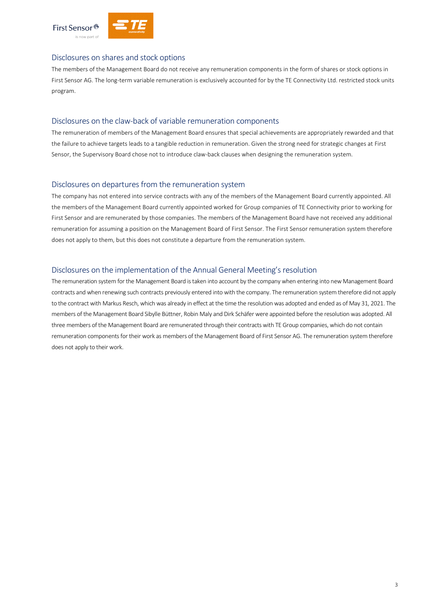



#### Disclosures on shares and stock options

The members of the Management Board do not receive any remuneration components in the form of shares or stock options in First Sensor AG. The long-term variable remuneration is exclusively accounted for by the TE Connectivity Ltd. restricted stock units program.

#### Disclosures on the claw-back of variable remuneration components

The remuneration of members of the Management Board ensures that special achievements are appropriately rewarded and that the failure to achieve targets leads to a tangible reduction in remuneration. Given the strong need for strategic changes at First Sensor, the Supervisory Board chose not to introduce claw-back clauses when designing the remuneration system.

## Disclosures on departures from the remuneration system

The company has not entered into service contracts with any of the members of the Management Board currently appointed. All the members of the Management Board currently appointed worked for Group companies of TE Connectivity prior to working for First Sensor and are remunerated by those companies. The members of the Management Board have not received any additional remuneration for assuming a position on the Management Board of First Sensor. The First Sensor remuneration system therefore does not apply to them, but this does not constitute a departure from the remuneration system.

### Disclosures on the implementation of the Annual General Meeting's resolution

The remuneration system for the Management Board is taken into account by the company when entering into new Management Board contracts and when renewing such contracts previously entered into with the company. The remuneration system therefore did not apply to the contract with Markus Resch, which was already in effect at the time the resolution was adopted and ended as of May 31, 2021. The members of the Management Board Sibylle Büttner, Robin Maly and Dirk Schäfer were appointed before the resolution was adopted. All three members of the Management Board are remunerated through their contracts with TE Group companies, which do not contain remuneration components for their work as members of the Management Board of First Sensor AG. The remuneration system therefore does not apply to their work.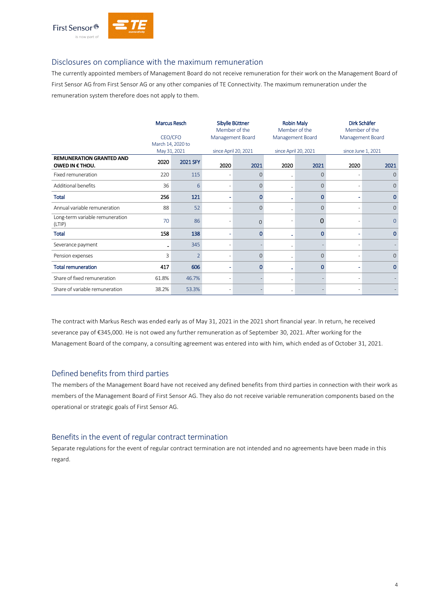

### Disclosures on compliance with the maximum remuneration

The currently appointed members of Management Board do not receive remuneration for their work on the Management Board of First Sensor AG from First Sensor AG or any other companies of TE Connectivity. The maximum remuneration under the remuneration system therefore does not apply to them.

|                                           | <b>Marcus Resch</b><br>CEO/CFO<br>March 14, 2020 to |                          | Sibylle Büttner<br>Member of the<br>Management Board |          | <b>Robin Maly</b><br>Member of the<br>Management Board |                | Dirk Schäfer<br>Member of the<br>Management Board |                |
|-------------------------------------------|-----------------------------------------------------|--------------------------|------------------------------------------------------|----------|--------------------------------------------------------|----------------|---------------------------------------------------|----------------|
| <b>REMUNERATION GRANTED AND</b>           | May 31, 2021                                        |                          | since April 20, 2021                                 |          | since April 20, 2021                                   |                | since June 1, 2021                                |                |
| OWED IN € THOU.                           | 2020                                                | 2021 SFY                 | 2020                                                 | 2021     | 2020                                                   | 2021           | 2020                                              | 2021           |
| Fixed remuneration                        | 220                                                 | 115                      |                                                      | O        |                                                        | $\mathbf{0}$   |                                                   | $\Omega$       |
| Additional benefits                       | 36                                                  | 6                        | ٠                                                    | $\Omega$ |                                                        | $\overline{O}$ |                                                   | $\mathbf{O}$   |
| Total                                     | 256                                                 | 121                      | ٠                                                    | 0        |                                                        | $\mathbf 0$    |                                                   | $\mathbf 0$    |
| Annual variable remuneration              | 88                                                  | 52                       |                                                      | $\Omega$ |                                                        | $\overline{0}$ |                                                   | $\mathbf{0}$   |
| Long-term variable remuneration<br>(LTIP) | 70                                                  | 86                       |                                                      | $\Omega$ |                                                        | 0              |                                                   | $\overline{0}$ |
| <b>Total</b>                              | 158                                                 | 138                      | ٠                                                    | 0        |                                                        | $\mathbf{0}$   |                                                   | $\mathbf 0$    |
| Severance payment                         |                                                     | 345                      | ٠                                                    |          |                                                        |                |                                                   |                |
| Pension expenses                          | 3                                                   | $\overline{\phantom{a}}$ |                                                      | $\Omega$ |                                                        | $\mathbf{O}$   |                                                   | $\Omega$       |
| <b>Total remuneration</b>                 | 417                                                 | 606                      | ۰                                                    | O        |                                                        | $\mathbf{0}$   |                                                   | $\Omega$       |
| Share of fixed remuneration               | 61.8%                                               | 46.7%                    |                                                      |          |                                                        |                |                                                   |                |
| Share of variable remuneration            | 38.2%                                               | 53.3%                    | ٠                                                    |          |                                                        |                |                                                   |                |

The contract with Markus Resch was ended early as of May 31, 2021 in the 2021 short financial year. In return, he received severance pay of €345,000. He is not owed any further remuneration as of September 30, 2021. After working for the Management Board of the company, a consulting agreement was entered into with him, which ended as of October 31, 2021.

## Defined benefits from third parties

The members of the Management Board have not received any defined benefits from third parties in connection with their work as members of the Management Board of First Sensor AG. They also do not receive variable remuneration components based on the operational or strategic goals of First Sensor AG.

#### Benefits in the event of regular contract termination

Separate regulations for the event of regular contract termination are not intended and no agreements have been made in this regard.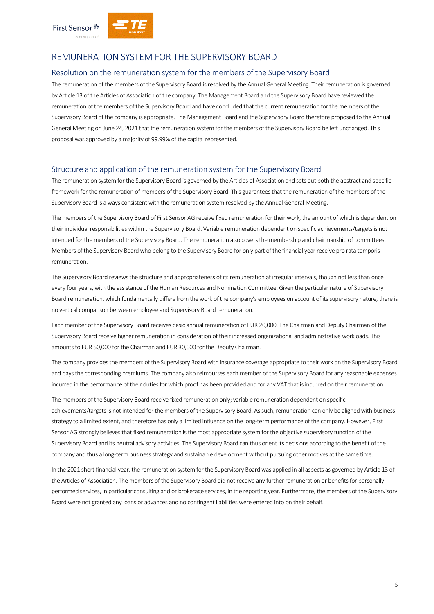



# REMUNERATION SYSTEM FOR THE SUPERVISORY BOARD

#### Resolution on the remuneration system for the members of the Supervisory Board

The remuneration of the members of the Supervisory Board is resolved by the Annual General Meeting. Their remuneration is governed by Article 13 of the Articles of Association of the company. The Management Board and the Supervisory Board have reviewed the remuneration of the members of the Supervisory Board and have concluded that the current remuneration for the members of the Supervisory Board of the company is appropriate. The Management Board and the Supervisory Board therefore proposed to the Annual General Meeting on June 24, 2021 that the remuneration system for the members of the Supervisory Board be left unchanged. This proposal was approved by a majority of 99.99% of the capital represented.

#### Structure and application of the remuneration system for the Supervisory Board

The remuneration system for the Supervisory Board is governed by the Articles of Association and sets out both the abstract and specific framework for the remuneration of members of the Supervisory Board. This guarantees that the remuneration of the members of the Supervisory Board is always consistent with the remuneration system resolved by the Annual General Meeting.

The members of the Supervisory Board of First Sensor AG receive fixed remuneration for their work, the amount of which is dependent on their individual responsibilities within the Supervisory Board. Variable remuneration dependent on specific achievements/targets is not intended for the members of the Supervisory Board. The remuneration also covers the membership and chairmanship of committees. Members of the Supervisory Board who belong to the Supervisory Board for only part of the financial year receive pro rata temporis remuneration.

The Supervisory Board reviews the structure and appropriateness of its remuneration at irregular intervals, though not less than once every four years, with the assistance of the Human Resources and Nomination Committee. Given the particular nature of Supervisory Board remuneration, which fundamentally differs from the work of the company's employees on account of its supervisory nature, there is no vertical comparison between employee and Supervisory Board remuneration.

Each member of the Supervisory Board receives basic annual remuneration of EUR 20,000. The Chairman and Deputy Chairman of the Supervisory Board receive higher remuneration in consideration of their increased organizational and administrative workloads. This amounts to EUR 50,000 for the Chairman and EUR 30,000 for the Deputy Chairman.

The company provides the members of the Supervisory Board with insurance coverage appropriate to their work on the Supervisory Board and pays the corresponding premiums. The company also reimburses each member of the Supervisory Board for any reasonable expenses incurred in the performance of their duties for which proof has been provided and for any VAT that is incurred on their remuneration.

The members of the Supervisory Board receive fixed remuneration only; variable remuneration dependent on specific achievements/targets is not intended for the members of the Supervisory Board. As such, remuneration can only be aligned with business strategy to a limited extent, and therefore has only a limited influence on the long-term performance of the company. However, First Sensor AG strongly believes that fixed remuneration is the most appropriate system for the objective supervisory function of the Supervisory Board and its neutral advisory activities. The Supervisory Board can thus orient its decisions according to the benefit of the company and thus a long-term business strategy and sustainable development without pursuing other motives at the same time.

In the 2021 short financial year, the remuneration system for the Supervisory Board was applied in all aspects as governed by Article 13 of the Articles of Association. The members of the Supervisory Board did not receive any further remuneration or benefits for personally performed services, in particular consulting and or brokerage services, in the reporting year. Furthermore, the members of the Supervisory Board were not granted any loans or advances and no contingent liabilities were entered into on their behalf.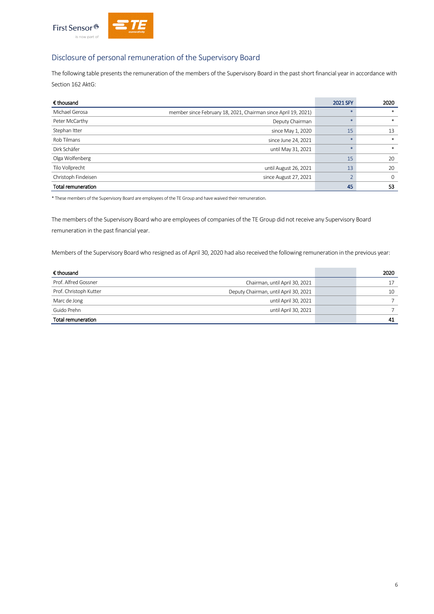

# Disclosure of personal remuneration of the Supervisory Board

The following table presents the remuneration of the members of the Supervisory Board in the past short financial year in accordance with Section 162 AktG:

| € thousand                |                                                                | 2021 SFY | 2020        |
|---------------------------|----------------------------------------------------------------|----------|-------------|
| Michael Gerosa            | member since February 18, 2021, Chairman since April 19, 2021) |          | $*$         |
| Peter McCarthy            | Deputy Chairman                                                | $\ast$   | $*$         |
| Stephan Itter             | since May 1, 2020                                              | 15       | 13          |
| Rob Tilmans               | since June 24, 2021                                            |          | $*$         |
| Dirk Schäfer              | until May 31, 2021                                             | $\ast$   | $*$         |
| Olga Wolfenberg           |                                                                | 15       | 20          |
| Tilo Vollprecht           | until August 26, 2021                                          | 13       | 20          |
| Christoph Findeisen       | since August 27, 2021                                          |          | $\mathbf 0$ |
| <b>Total remuneration</b> |                                                                | 45       | 53          |

\* These members of the Supervisory Board are employees of the TE Group and have waived their remuneration.

The members of the Supervisory Board who are employees of companies of the TE Group did not receive any Supervisory Board remuneration in the past financial year.

Members of the Supervisory Board who resigned as of April 30, 2020 had also received the following remuneration in the previous year:

| € thousand             |                                       | 2020 |
|------------------------|---------------------------------------|------|
| Prof. Alfred Gossner   | Chairman, until April 30, 2021        |      |
| Prof. Christoph Kutter | Deputy Chairman, until April 30, 2021 | 10   |
| Marc de Jong           | until April 30, 2021                  |      |
| Guido Prehn            | until April 30, 2021                  |      |
| Total remuneration     |                                       | 41   |